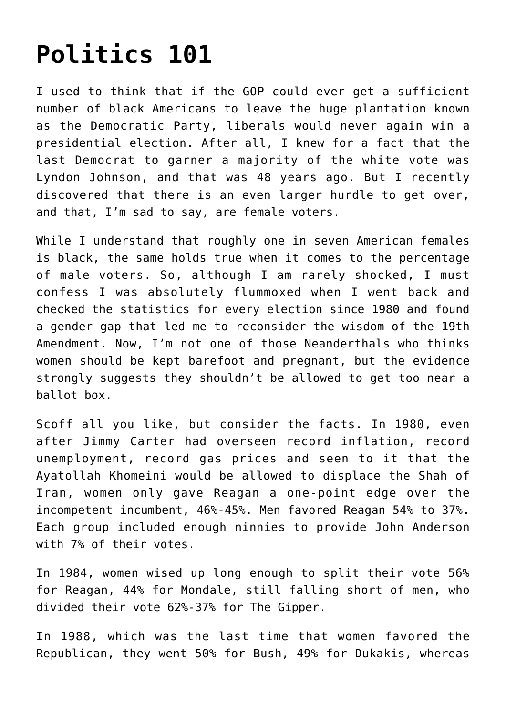## **[Politics 101](https://bernardgoldberg.com/politics-101/)**

I used to think that if the GOP could ever get a sufficient number of black Americans to leave the huge plantation known as the Democratic Party, liberals would never again win a presidential election. After all, I knew for a fact that the last Democrat to garner a majority of the white vote was Lyndon Johnson, and that was 48 years ago. But I recently discovered that there is an even larger hurdle to get over, and that, I'm sad to say, are female voters.

While I understand that roughly one in seven American females is black, the same holds true when it comes to the percentage of male voters. So, although I am rarely shocked, I must confess I was absolutely flummoxed when I went back and checked the statistics for every election since 1980 and found a gender gap that led me to reconsider the wisdom of the 19th Amendment. Now, I'm not one of those Neanderthals who thinks women should be kept barefoot and pregnant, but the evidence strongly suggests they shouldn't be allowed to get too near a ballot box.

Scoff all you like, but consider the facts. In 1980, even after Jimmy Carter had overseen record inflation, record unemployment, record gas prices and seen to it that the Ayatollah Khomeini would be allowed to displace the Shah of Iran, women only gave Reagan a one-point edge over the incompetent incumbent, 46%-45%. Men favored Reagan 54% to 37%. Each group included enough ninnies to provide John Anderson with 7% of their votes.

In 1984, women wised up long enough to split their vote 56% for Reagan, 44% for Mondale, still falling short of men, who divided their vote 62%-37% for The Gipper.

In 1988, which was the last time that women favored the Republican, they went 50% for Bush, 49% for Dukakis, whereas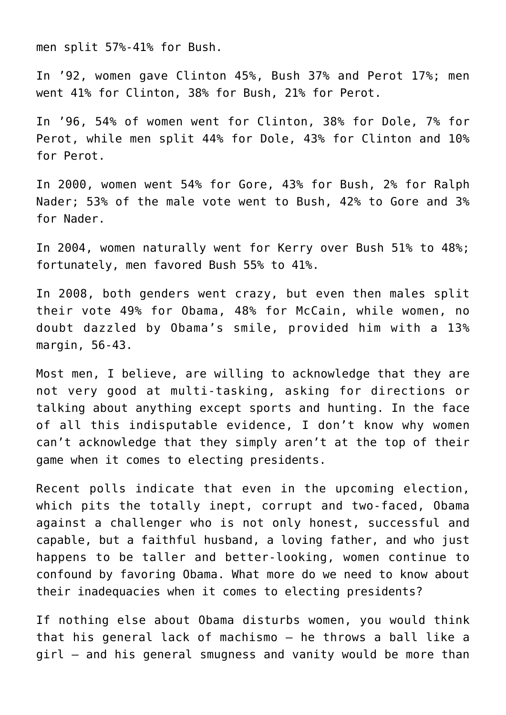men split 57%-41% for Bush.

In '92, women gave Clinton 45%, Bush 37% and Perot 17%; men went 41% for Clinton, 38% for Bush, 21% for Perot.

In '96, 54% of women went for Clinton, 38% for Dole, 7% for Perot, while men split 44% for Dole, 43% for Clinton and 10% for Perot.

In 2000, women went 54% for Gore, 43% for Bush, 2% for Ralph Nader; 53% of the male vote went to Bush, 42% to Gore and 3% for Nader.

In 2004, women naturally went for Kerry over Bush 51% to 48%; fortunately, men favored Bush 55% to 41%.

In 2008, both genders went crazy, but even then males split their vote 49% for Obama, 48% for McCain, while women, no doubt dazzled by Obama's smile, provided him with a 13% margin, 56-43.

Most men, I believe, are willing to acknowledge that they are not very good at multi-tasking, asking for directions or talking about anything except sports and hunting. In the face of all this indisputable evidence, I don't know why women can't acknowledge that they simply aren't at the top of their game when it comes to electing presidents.

Recent polls indicate that even in the upcoming election, which pits the totally inept, corrupt and two-faced, Obama against a challenger who is not only honest, successful and capable, but a faithful husband, a loving father, and who just happens to be taller and better-looking, women continue to confound by favoring Obama. What more do we need to know about their inadequacies when it comes to electing presidents?

If nothing else about Obama disturbs women, you would think that his general lack of machismo — he throws a ball like a girl — and his general smugness and vanity would be more than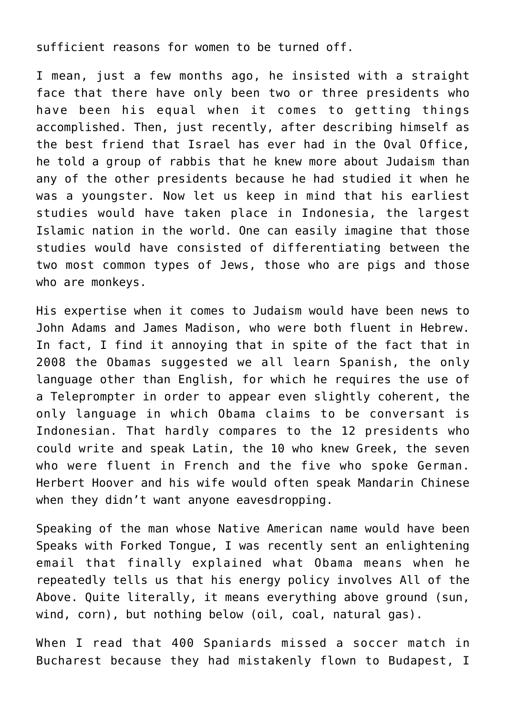sufficient reasons for women to be turned off.

I mean, just a few months ago, he insisted with a straight face that there have only been two or three presidents who have been his equal when it comes to getting things accomplished. Then, just recently, after describing himself as the best friend that Israel has ever had in the Oval Office, he told a group of rabbis that he knew more about Judaism than any of the other presidents because he had studied it when he was a youngster. Now let us keep in mind that his earliest studies would have taken place in Indonesia, the largest Islamic nation in the world. One can easily imagine that those studies would have consisted of differentiating between the two most common types of Jews, those who are pigs and those who are monkeys.

His expertise when it comes to Judaism would have been news to John Adams and James Madison, who were both fluent in Hebrew. In fact, I find it annoying that in spite of the fact that in 2008 the Obamas suggested we all learn Spanish, the only language other than English, for which he requires the use of a Teleprompter in order to appear even slightly coherent, the only language in which Obama claims to be conversant is Indonesian. That hardly compares to the 12 presidents who could write and speak Latin, the 10 who knew Greek, the seven who were fluent in French and the five who spoke German. Herbert Hoover and his wife would often speak Mandarin Chinese when they didn't want anyone eavesdropping.

Speaking of the man whose Native American name would have been Speaks with Forked Tongue, I was recently sent an enlightening email that finally explained what Obama means when he repeatedly tells us that his energy policy involves All of the Above. Quite literally, it means everything above ground (sun, wind, corn), but nothing below (oil, coal, natural gas).

When I read that 400 Spaniards missed a soccer match in Bucharest because they had mistakenly flown to Budapest, I